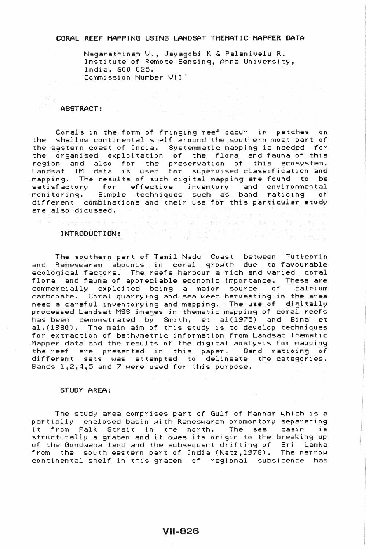# CORAL REEF MAPPING USING LANDSAT THEMATIC-MAPPER DATA

Nagarathinam V., Jayagobi K & Palanivelu R. Institute of Remote Sensing, Anna University, India. 600 025. Commission Number VII

# ABSTRACT:

Corals in the form of fringing reef occur in patches on the shallow continental shelf around the southern most part of the eastern coast of India. Systemmatic mapping is needed for the organised exploitation of the flora. and fauna of this region and also for the preservation of this ecosystem. Landsat TM data is used for supervised classification and mapping. The results of such digital mapping are found to be satisfactory for effective inventory and environmental monitoring. Simple techniques such as band ratioing of different combinations and their use for this particular study are also dicussed.

# INTRODUCTION:

The southern part of Tamil Nadu Coast between Tuticorin and Rameswaram abounds in coral growth due to favourable ecological factors. The reefs harbour a rich and varied coral flora and fauna of appreciable economic importance. These are commercially exploited being a major source of calcium carbonate. Coral quarrying and sea weed harvesting in the area need a careful inventorying and mapping\_ The use of digitally processed Landsat MSS images in thematic mapping of coral reefs has been demonstrated by Smith, et al(1975) and Bina et al.(1980). The main aim of this study is to develop techniques for extraction of bathymetric information from Landsat Thematic Mapper data and the results of the digital analysis for mapping the reef are presented in this paper. Band ratioing of different sets was attempted to delineate the categories. Bands 1,2,4,5 and 7 were used for this purpose.

### STUDY AREA:

The study area comprises part of Gulf of Mannar which is a partially enclosed basin with Rameswaram promontory separating it from Palk Strait in the north. The sea basin is structurally a graben and it owes its origin to the breaking up of the Gondwana land and the subsequent drifting of Sri Lanka from the south eastern part of India (Katz,1978). The narrow continental shelf in this graben of regional subsidence has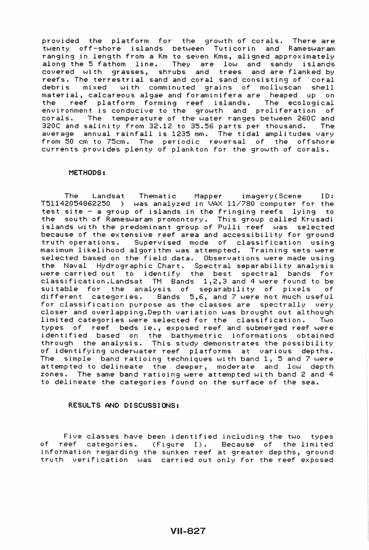provided the platform for the growth of corals. There are twenty off-shore islands between Tuticorin and Rameswaram ranging in length from a Km to seven Kms, aligned approximately along the 5 fathom line. They are low and sandy islands covered with grasses, shrubs and trees and are flanked by reefs. The terrestrial sand and coral sand consisting of coral debris mixed with comminuted grains of molluscan shell material, calcareous algae and foraminifera are heaped up on the *reef* platform forming *reef* islands. The ecological environment is conducive to the growth and proliferation of corals. The temperature of the water ranges between 260C and 320C and salinity from 32.12 to 35.56 parts per thousand. The average annual rainfall is 1235 mm. The tidal amplitudes vary from 50 cm to 75cm. The periodic reversal of the offshore currents provides plenty of plankton for the growth of corals.

#### METHODS:

The Landsat Thematic Mapper imagery (Scene ID:  $T51142054862250$  ) was analyzed in VAX  $11/780$  computer for the test site - a group of islands in the fringing reefs lying to the south of Rameswaram promontory. This group called Krusadi islands with the predominant group of Pulli reef was selected because of the extensive reef area and accessibility for ground truth operations. Supervised mode of classification using maximum likelihood algorithm was attempted. Training sets were selected based on the *field* data. Observations were made using the Naval Hydrographic Chart. Spectral separability analysis were carried out to identify the best spectral bands for classification.Landsat TM Bands 1,2,3 and 4 were found to be suitable for the analysis of separability of pixels of different categories. Bands 5,6, and 7 were not much useful for classification purpose as the classes are spectrally very closer and overlapping.Depth variation was brought out although limited categories were selected for the classification. Two types of *reef* beds ie., exposed reef and submerged *reef* were identified based on the bathymetric informations obtained through the analysis. This study demonstrates the possibility of identifying underwater reef platforms at various depths. The simple band ratioing techniques with band 1, 5 and 7 were attempted to delineate the deeper, moderate and low depth zones. The same band ratioing were attempted with band 2 and 4 to delineate the categories found on the surface of the sea.

## RESULTS AND DISCUSSIONS:

Five classes have been identified including the two types of reef categories. (Figure I). Because of the limited information regarding the sunken *reef* at greater depths, ground truth verification was carried out only for the reef exposed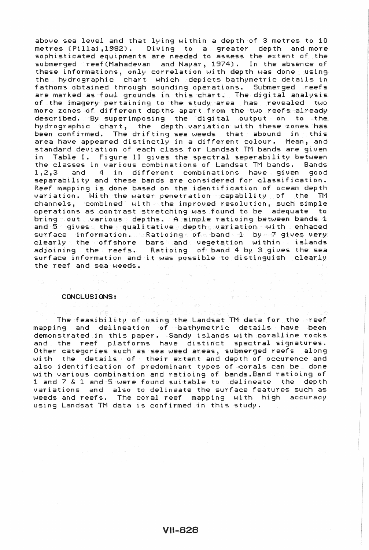above sea level and that lying within a depth of 3 metres to 10 metres (Pillai,1982). Diving to a greater depth and more sophisticated equipments *are* needed to assess the extent of the submerged reef(Mahadevan and Nayar, 1974). In the absence of these informations, only correlation with depth was done using the hydrographic chart which depicts bathymetric details in fathoms obtained through sounding operations. Submerged reefs *are* marked as fowl grounds in this chart. The digital analysis of the imagery pertaining to the study area has revealed two more zones of different depths apart from the two reefs already described. By superimposing the digital output on to the hydrographic chart, the depth variation with these zones has been confirmed. The drifting sea weeds that abound in this area have appeared distinctly in a different colour. Mean, and standard deviation of each class for Landsat TM bands are given in Table I. Figure II gives the spectral seperability between the classes in various combinations of Landsat TM bands. Bands 1,2,3 and 4 in different combinations have given good separability and these bands are considered for classification. Reef mapping is done based on the identification of ocean depth variation. With the water penetration capability of the TM channels, combined with the improved resolution, such simple operations as contrast stretching was found to be adequate to bring out various depths. A simple ratioing between bands 1 and  $5$  gives. the qualitative depths variation with enhaced surface information. Ratioings of band 1 by 7 gives very clearly the offshore bars and vegetation within islands adjoining the reefs. Ratioing of band 4 by 3 gives the sea surface information and it was possible to distinguish clearly the *reef* and sea weeds.

#### CONCLUSIONS:

The feasibility of using the Landsat TM data for the *reef*  mapping and delineation of bathymetric details have been demonstrated in this paper. Sandy islands with coralline rocks and the *reef* platforms have distinct spectral signatures. Other categories such as sea weed areas, submerged reefs along with the details of their extent and depth of occurence and also identification of predominant types of corals can be done with various combination and ratioing of bands.Band ratioing of 1 and 7 & 1 and 5 were found suitable to delineate the depth variations and also to delineate the surface features such as weeds and reefs. The coral *reef* mapping with high accuracy using Landsat TM data is confirmed in this study.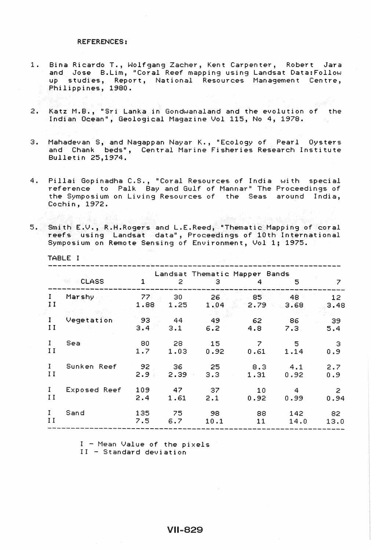# REFERENCES:

TABLE I

- 1. Bina Ricardo T., Wolfgang Zacher, Kent Carpenter, Robert Jara and Jose B.lim, "Coral Reef mapping using landsat Data:Follow up studies, Report, National Resources Management Centre, Philippines, 1980.
- 2. Katz M.B., "Sri lanka in Gondwanaland and the evolution of the Indian Ocean", Geological Magazine Vol 115, No 4, 1978.
- 3. Mahadevan S, and Nagappan Nayar K., "Ecology of Pearl Oysters and Chank beds", Central Marine Fisheries Research Institute Bulletin 25,1974.
- 4. Pillai Gopinadha C.S., "Coral Resources of India with special reference to Palk Bay and Gulf of Mannar" The Proceedings of the Symposium on living Resources of the Seas around India, Cochin, 1972.

5. Smith E.V., R.H.Rogers and L.E.Reed, "Thematic Mapping of coral reefs using Landsat data", Proceedings of 10th International Symposium on Remote Sensing of Environment, Vol 1; 1975.

|              | <b>CLASS</b><br>- 백화 | $\mathbf{1}$            | 2          | Landsat Thematic Mapper Bands<br>3. | 4                      | 5    | 7                       |
|--------------|----------------------|-------------------------|------------|-------------------------------------|------------------------|------|-------------------------|
| Ι.<br>11     | Marshy               | 77 <sub>1</sub><br>1.88 | 30<br>1.25 | 26.<br>1.04                         | - 851<br>$2.79$ $3.68$ | 48   | 12 <sub>1</sub><br>3.48 |
| $\mathbf{I}$ | Vegetation           | 93                      | $-44$      | 49                                  | 62                     | 86   | 39                      |
| 11           | 이 사람들은 어떻게 되었다.      | $3.4 -$                 | 3.1        | $6.2 -$                             | 4.8                    | 7.3. | 5.4                     |
| $\mathbf{I}$ | Sea                  | 80                      | 28         | 15                                  | 7                      | 5    | З                       |
| II           |                      | 1.7                     | 1.03       | 0.92                                | 0.61                   | 1.14 | 0.9                     |
| $\mathbf{I}$ | Sunken Reef          | 92                      | 36         | $-25$                               | 8.3                    | 4.1  | 2.7                     |
| II           |                      | $2.9 -$                 | $2.39 -$   | 3.3                                 | 1.31                   | 0.92 | 0.9                     |
| $\mathbf{I}$ | Exposed Reef         | 109                     | 47         | - 37                                | 10                     | 4    | $\mathbf{z}$            |
| II           |                      | 2.4                     | 1.61       | 2.1                                 | 0.92                   | 0.99 | 0.94                    |
| $\mathbf{I}$ | Sand                 | 135                     | $75 -$     | - 98                                | 88                     | 142  | 82                      |
| $\mathbf{I}$ |                      | 7.5                     | 6.7        | 10.1                                | 11                     | 14.0 | 13.0                    |
|              |                      |                         |            |                                     |                        |      |                         |

 $I$  - Mean Value of the pixels I I - Standard deviation

# **VII-829**